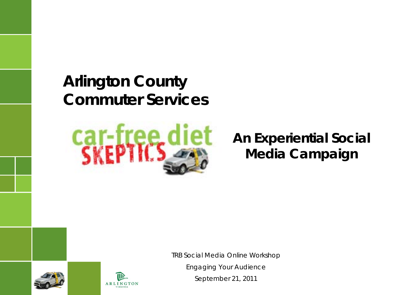### *Arlington County Commuter Services*



### **An Experiential Social Media Campaign**

*TRB Social Media Online Workshop*

*Engaging Your Audience September 21, 2011*



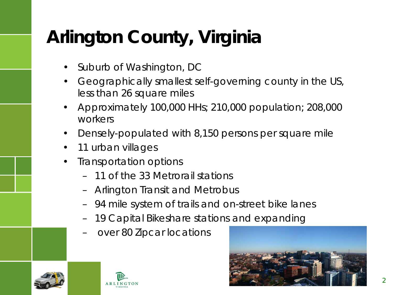# **Arlington County, Virginia**

- Suburb of Washington, DC
- Geographically smallest self-governing county in the US, less than 26 square miles
- Approximately 100,000 HHs; 210,000 population; 208,000 workers
- Densely-populated with 8,150 persons per square mile
- 11 urban villages
- Transportation options
	- 11 of the 33 Metrorail stations
	- Arlington Transit and Metrobus
	- 94 mile system of trails and on-street bike lanes
	- 19 Capital Bikeshare stations and expanding
	- over 80 Zipcar locations





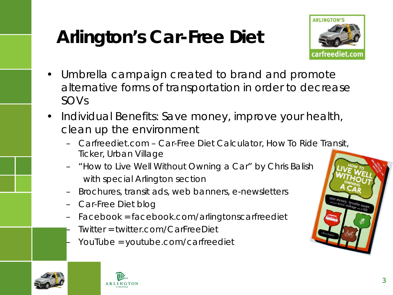# **Arlington's Car-Free Diet**



- Umbrella campaign created to brand and promote alternative forms of transportation in order to decrease SOVs
- Individual Benefits: Save money, improve your health, clean up the environment
	- Carfreediet.com Car-Free Diet Calculator, How To Ride Transit, Ticker, Urban Village
	- *"How to Live Well Without Owning a Car"* by Chris Balish with special Arlington section
	- Brochures, transit ads, web banners, e-newsletters
	- Car-Free Diet blog
	- Facebook = facebook.com/arlingtonscarfreediet
	- Twitter = twitter.com/CarFreeDiet
	- YouTube = youtube.com/carfreediet



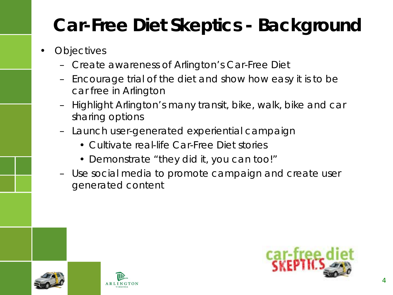# **Car-Free Diet Skeptics - Background**

- **Objectives** 
	- Create awareness of Arlington's Car-Free Diet
	- Encourage trial of the diet and show how easy it is to be car free in Arlington
	- Highlight Arlington's many transit, bike, walk, bike and car sharing options
	- Launch user-generated experiential campaign
		- Cultivate real-life Car-Free Diet stories
		- Demonstrate "they did it, you can too!"
	- Use social media to promote campaign and create user generated content



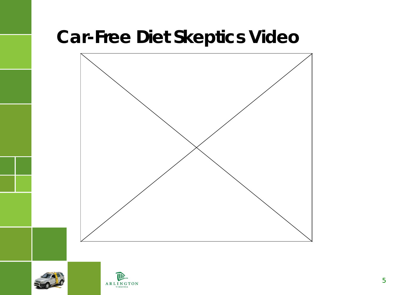# **Car-Free Diet Skeptics Video**





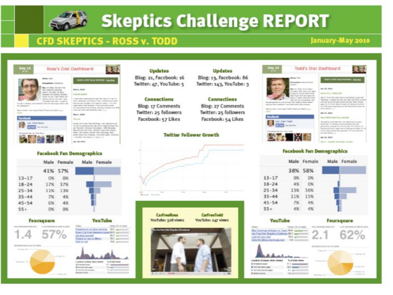

# **Skeptics Challenge REPORT**

### **CFD SKEPTICS - ROSS v. TODD**

### January-May 2010



#### **Facebook Fan Demographics**



#### Foursquare



| and the state of the state of the state of the state of the state of the state of the state of the state of the |  |
|-----------------------------------------------------------------------------------------------------------------|--|
|                                                                                                                 |  |

#### **You Tube**



### **Updates** Blog: 21, Facebook: 16 Twitter: 47, YouTube: 5

#### Connections

Blog: 17 Comments Twitter: 25 followers Facebook: 57 Likes

### **Twitter Follower Growth**





### **Updates**

Blog: 13, Facebook: 86 Twitter: 143, YouTube: 3

#### Cennections

**Blog: 27 Comments** Twitter: 25 followers Facebook: 54 Likes



Let-Frest Trend

والمنافذ

**FORM** members

 $\sim$ 

#### **COUNTER BUILDING SHARE** Apr 26, 2004 **Black A.J., President NET ARM WH** lays in Three has when you're naturality in your lan

Todd's Diet Dashboard

Newman I restate the lost last and strike is and<br>and last symbolic companies and the way. News the last his marking to hap some more measured do put in anto advise L.

奇場

#### **Marial Assoc**

Day 1 Wist Hear Personnell

this service of their start from most being up starts. Greenway, TV cowing in writings health and presentate streamer machiner as basic red sharmon in reaming Aprileville this is additionally and consider that will contact the Sit-ine-server), 2

46175, 9303.

black - duration dearlines. For the

#### **Facebook Fan Demographics**

|           |     | Male Female Male Female |  |
|-----------|-----|-------------------------|--|
|           |     | 38% 58%                 |  |
| $13 - 17$ |     | D%                      |  |
| $18 - 24$ |     | D%                      |  |
| $25 - 34$ | 13% | 3.6%                    |  |
| $35 - 44$ | 11% | 15%                     |  |
| $45 - 54$ |     |                         |  |
| $55+$     |     | <b>ANC</b>              |  |

#### YouTube



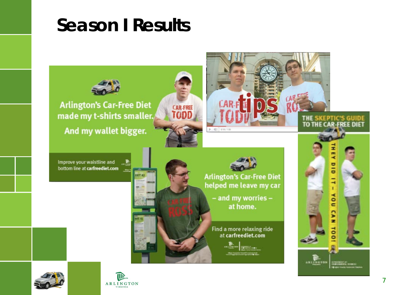## **Season I Results**



**Arlington's Car-Free Diet** made my t-shirts smaller. And my wallet bigger.

ART 42



Improve your waistline and bottom line at carfreediet.com  $\rightarrow$ 



 $-40$   $0.107100$ 

**Arlington's Car-Free Diet** helped me leave my car

> - and my worries at home.

Find a more relaxing ride at carfreediet.com





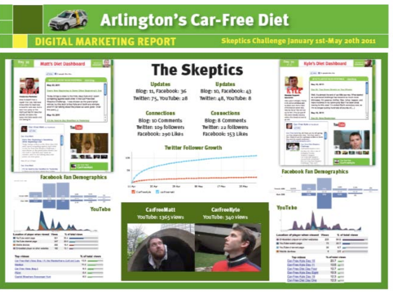

## **Arlington's Car-Free Diet**

### **DIGITAL MARKETING REPORT**

### Skeptics Challenge January 1st-May 20th 2011



#### Kyle's Diet Dashboard **The Skeptics** Cont Wingstown **Updates** Updates **Base III, MITH.** Blog: 10, Facebook: 43 David Chas Street, Minister or Treet Winger Blog: 11, Facebook: 36 Red, it's almost the entire' an fifty two my. Print started Twitter: 75, YouTube: 28 Twitter: 48, YouTube: 8 as, or partnering introducing fractioness in law insight charge Streams Smigranner Andfor, Next Street Inspirationed **PECULIAR ECONOMIC PRO** the backets of the products that he does not r il ani promozope **CALIFORNIA BANK BOOK CORPO LIBRARY 1981** Christmas de parte (dat.)<br>Visit de facta francese The violating painting fluiding is afterwards at (1) **Connections** Connections arteres mounted Berg 10, 19791 attractive modern and p **OL Renault** Blog: 10 Comments **Blog: 8 Comments** Go Pro Ark creator **Ball** Ŧ **Twitter: 109 followers** Twitter: 22 followers of them. Facebook: 200 Likes Facebook: 153 Likes er ta animalistas de Valencia (1844).<br>Nacimiento de Antonio esperanto de Marco Mario **Twitter Follower Growth START AND REAL PROPERTY**  $1000$ pre interior. 18 **Facebook Fan Demographics** U.Net **Bill Hard** 20.6m 28 Apr (7 Per 20 Hay Carl and La Postal **The Season SAILER YouTube** CarFreeMatt **CarFreeNvle** YouTube: 1365 views YouTube: 340 views 5. of tailed stares Location of player when discuss Views IS D'étudite) player privatier vestimais **JES MAY ARE IBI** Was Chalon account pages 漰 **SIT And I Wanted** 47 per IST TAL/TEAM of demonitorage **B** Holida Borkess 381.40 **Tap statement** Supplement of theme **Cas Print, Hutta Step 18**  $21.7$  matt U.S. and Catifies Ren Das 11 Cast Prince Direction Prince 10.7 april 52.3 pm Car Pres Hale Des Sate 12.3 mm Can-Free Kyle Day 19 **Canonical Date Date One** 12.2 am